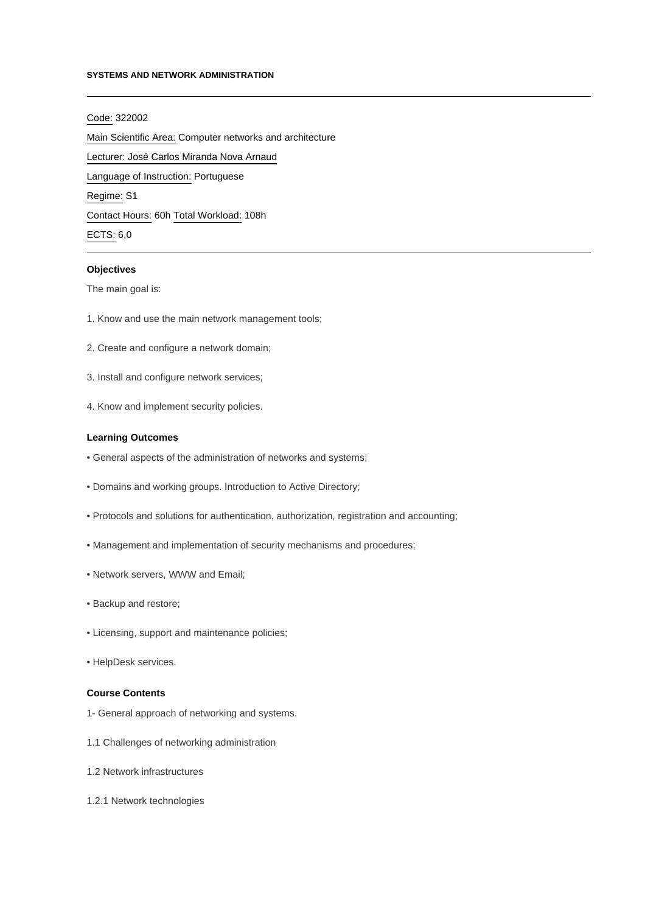## **SYSTEMS AND NETWORK ADMINISTRATION**

# Code: 322002

Main Scientific Area: Computer networks and architecture Lecturer: [José Carlos Miranda Nova Arnaud](mailto:jarnaud@ipca.pt) Language of Instruction: Portuguese Regime: S1 Contact Hours: 60h Total Workload: 108h

# ECTS: 6,0

# **Objectives**

The main goal is:

- 1. Know and use the main network management tools;
- 2. Create and configure a network domain;
- 3. Install and configure network services;
- 4. Know and implement security policies.

#### **Learning Outcomes**

- General aspects of the administration of networks and systems;
- Domains and working groups. Introduction to Active Directory;
- Protocols and solutions for authentication, authorization, registration and accounting;
- Management and implementation of security mechanisms and procedures;
- Network servers, WWW and Email;
- Backup and restore;
- Licensing, support and maintenance policies;
- HelpDesk services.

# **Course Contents**

- 1- General approach of networking and systems.
- 1.1 Challenges of networking administration
- 1.2 Network infrastructures
- 1.2.1 Network technologies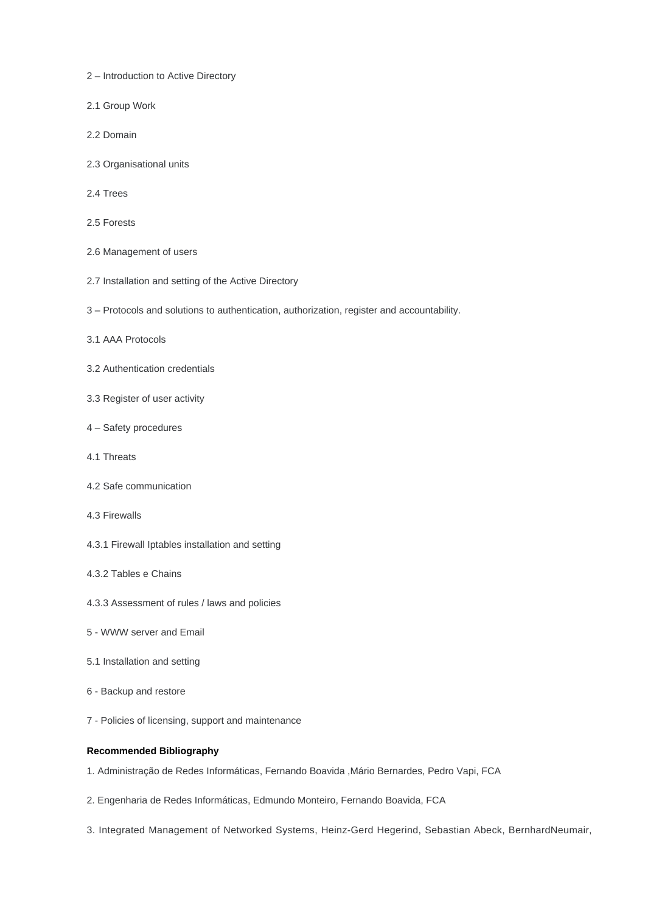- 2 Introduction to Active Directory
- 2.1 Group Work
- 2.2 Domain
- 2.3 Organisational units
- 2.4 Trees
- 2.5 Forests
- 2.6 Management of users
- 2.7 Installation and setting of the Active Directory
- 3 Protocols and solutions to authentication, authorization, register and accountability.
- 3.1 AAA Protocols
- 3.2 Authentication credentials
- 3.3 Register of user activity
- 4 Safety procedures
- 4.1 Threats
- 4.2 Safe communication
- 4.3 Firewalls
- 4.3.1 Firewall Iptables installation and setting
- 4.3.2 Tables e Chains
- 4.3.3 Assessment of rules / laws and policies
- 5 WWW server and Email
- 5.1 Installation and setting
- 6 Backup and restore
- 7 Policies of licensing, support and maintenance

# **Recommended Bibliography**

- 1. Administração de Redes Informáticas, Fernando Boavida ,Mário Bernardes, Pedro Vapi, FCA
- 2. Engenharia de Redes Informáticas, Edmundo Monteiro, Fernando Boavida, FCA
- 3. Integrated Management of Networked Systems, Heinz-Gerd Hegerind, Sebastian Abeck, BernhardNeumair,